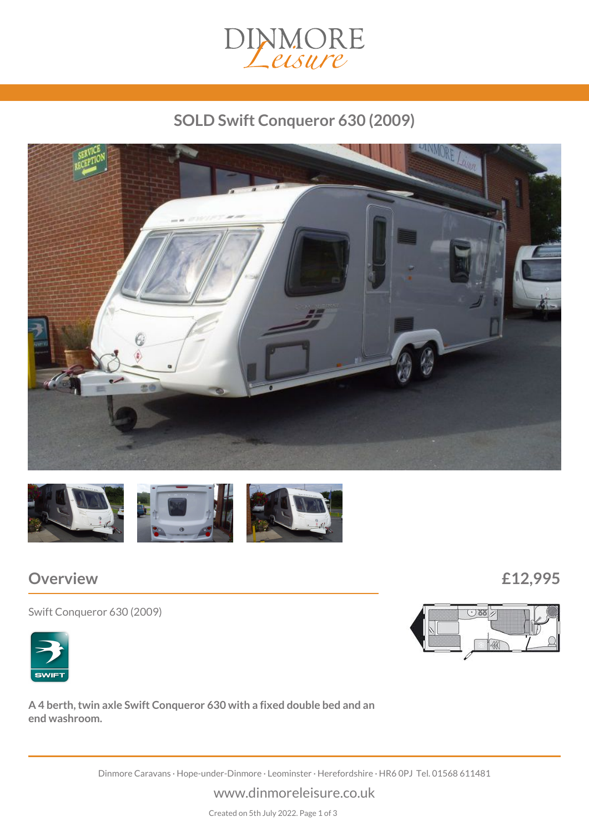

# *SOLD Swift Conqueror 630 (2009)*





## *Overview £12,995*

*Swift Conqueror 630 (2009)*



*A 4 berth, twin axle Swift Conqueror 630 with a fixed double bed and an end washroom.*

*Dinmore Caravans · Hope-under-Dinmore · Leominster · Herefordshire · HR6 0PJ Tel. 01568 611481*

*www.dinmoreleisure.co.uk*

*Created on 5th July 2022. Page 1 of 3*

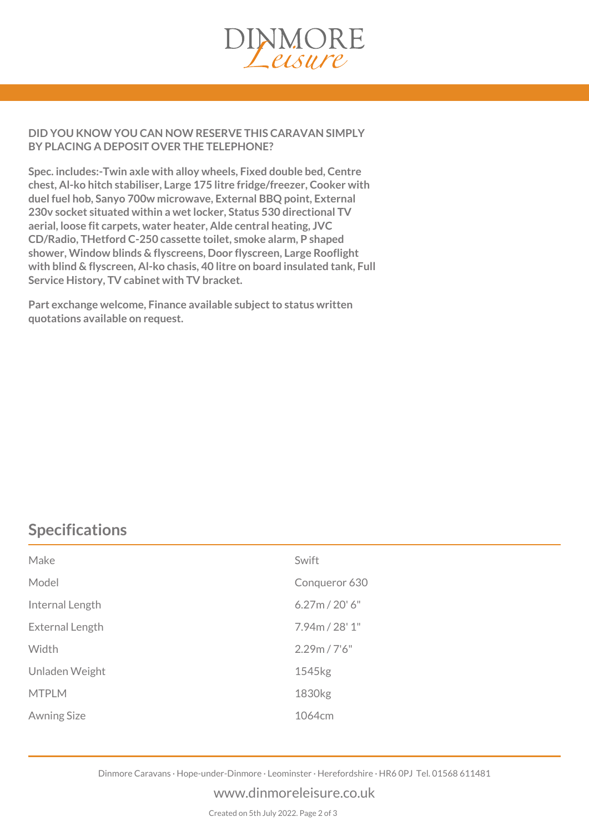

#### *DID YOU KNOW YOU CAN NOW RESERVE THIS CARAVAN SIMPLY BY PLACING A DEPOSIT OVER THE TELEPHONE?*

*Spec. includes:-Twin axle with alloy wheels, Fixed double bed, Centre chest, Al-ko hitch stabiliser, Large 175 litre fridge/freezer, Cooker with duel fuel hob, Sanyo 700w microwave, External BBQ point, External 230v socket situated within a wet locker, Status 530 directional TV aerial, loose fit carpets, water heater, Alde central heating, JVC CD/Radio, THetford C-250 cassette toilet, smoke alarm, P shaped shower, Window blinds & flyscreens, Door flyscreen, Large Rooflight with blind & flyscreen, Al-ko chasis, 40 litre on board insulated tank, Full Service History, TV cabinet with TV bracket.*

*Part exchange welcome, Finance available subject to status written quotations available on request.*

## *Specifications*

| Make               | Swift              |
|--------------------|--------------------|
| Model              | Conqueror 630      |
| Internal Length    | 6.27m / 20' 6''    |
| External Length    | 7.94m / 28' 1"     |
| Width              | 2.29m / 7'6''      |
| Unladen Weight     | 1545kg             |
| <b>MTPLM</b>       | 1830 <sub>kg</sub> |
| <b>Awning Size</b> | 1064cm             |

*Dinmore Caravans · Hope-under-Dinmore · Leominster · Herefordshire · HR6 0PJ Tel. 01568 611481*

#### *www.dinmoreleisure.co.uk*

*Created on 5th July 2022. Page 2 of 3*